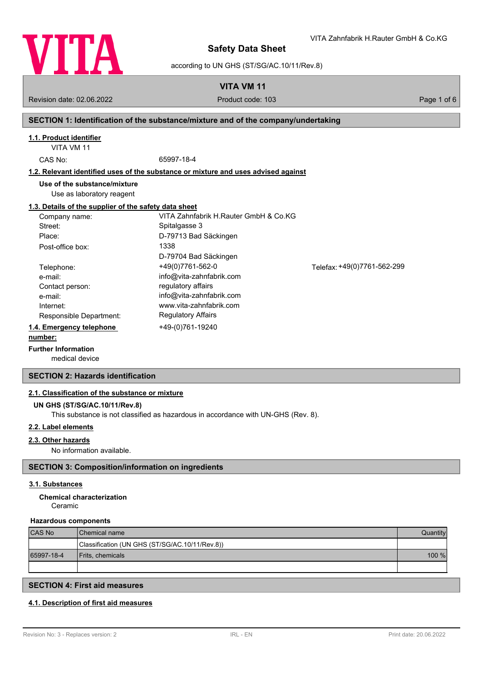

according to UN GHS (ST/SG/AC.10/11/Rev.8)

**VITA VM 11**

Revision date: 02.06.2022 **Product code: 103** Product code: 103 **Page 1 of 6** Page 1 of 6

VITA Zahnfabrik H.Rauter GmbH & Co.KG

### **SECTION 1: Identification of the substance/mixture and of the company/undertaking**

### **1.1. Product identifier**

VITA VM 11

CAS No: 65997-18-4

#### **1.2. Relevant identified uses of the substance or mixture and uses advised against**

**Use of the substance/mixture**

Use as laboratory reagent

### **1.3. Details of the supplier of the safety data sheet**

| Company name:            | VITA Zahnfabrik H.Rauter GmbH & Co.KG |                             |
|--------------------------|---------------------------------------|-----------------------------|
| Street:                  | Spitalgasse 3                         |                             |
| Place:                   | D-79713 Bad Säckingen                 |                             |
| Post-office box:         | 1338                                  |                             |
|                          | D-79704 Bad Säckingen                 |                             |
| Telephone:               | +49(0)7761-562-0                      | Telefax: +49(0)7761-562-299 |
| e-mail:                  | info@vita-zahnfabrik.com              |                             |
| Contact person:          | regulatory affairs                    |                             |
| e-mail:                  | info@vita-zahnfabrik.com              |                             |
| Internet:                | www.vita-zahnfabrik.com               |                             |
| Responsible Department:  | <b>Regulatory Affairs</b>             |                             |
| 1.4. Emergency telephone | +49-(0)761-19240                      |                             |
| number:                  |                                       |                             |

#### **number: Further Information**

medical device

### **SECTION 2: Hazards identification**

### **2.1. Classification of the substance or mixture**

### **UN GHS (ST/SG/AC.10/11/Rev.8)**

This substance is not classified as hazardous in accordance with UN-GHS (Rev. 8).

### **2.2. Label elements**

### **2.3. Other hazards**

No information available.

### **SECTION 3: Composition/information on ingredients**

### **3.1. Substances**

# **Chemical characterization**

Ceramic

### **Hazardous components**

| <b>CAS No</b> | <b>Chemical name</b>                           | Quantity |
|---------------|------------------------------------------------|----------|
|               | Classification (UN GHS (ST/SG/AC.10/11/Rev.8)) |          |
| 65997-18-4    | <b>Frits, chemicals</b>                        | 100 %    |
|               |                                                |          |

### **SECTION 4: First aid measures**

### **4.1. Description of first aid measures**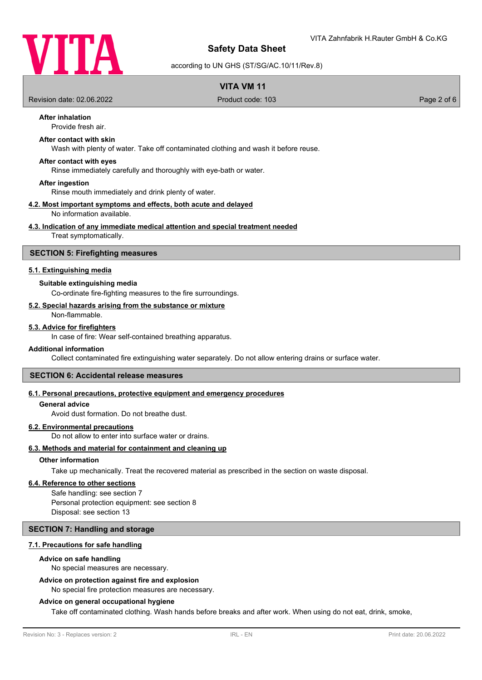

according to UN GHS (ST/SG/AC.10/11/Rev.8)

### **VITA VM 11**

Revision date: 02.06.2022 Product code: 103 Page 2 of 6

## **After inhalation**

Provide fresh air.

# **After contact with skin**

Wash with plenty of water. Take off contaminated clothing and wash it before reuse.

### **After contact with eyes**

Rinse immediately carefully and thoroughly with eye-bath or water.

#### **After ingestion**

Rinse mouth immediately and drink plenty of water.

#### **4.2. Most important symptoms and effects, both acute and delayed** No information available.

### **4.3. Indication of any immediate medical attention and special treatment needed**

Treat symptomatically.

### **SECTION 5: Firefighting measures**

### **5.1. Extinguishing media**

### **Suitable extinguishing media**

Co-ordinate fire-fighting measures to the fire surroundings.

### **5.2. Special hazards arising from the substance or mixture**

Non-flammable.

### **5.3. Advice for firefighters**

In case of fire: Wear self-contained breathing apparatus.

### **Additional information**

Collect contaminated fire extinguishing water separately. Do not allow entering drains or surface water.

#### **SECTION 6: Accidental release measures**

### **6.1. Personal precautions, protective equipment and emergency procedures**

#### **General advice**

Avoid dust formation. Do not breathe dust.

### **6.2. Environmental precautions**

Do not allow to enter into surface water or drains.

### **6.3. Methods and material for containment and cleaning up**

### **Other information**

Take up mechanically. Treat the recovered material as prescribed in the section on waste disposal.

### **6.4. Reference to other sections**

Safe handling: see section 7 Personal protection equipment: see section 8 Disposal: see section 13

### **SECTION 7: Handling and storage**

### **7.1. Precautions for safe handling**

#### **Advice on safe handling**

No special measures are necessary.

### **Advice on protection against fire and explosion**

No special fire protection measures are necessary.

#### **Advice on general occupational hygiene**

Take off contaminated clothing. Wash hands before breaks and after work. When using do not eat, drink, smoke,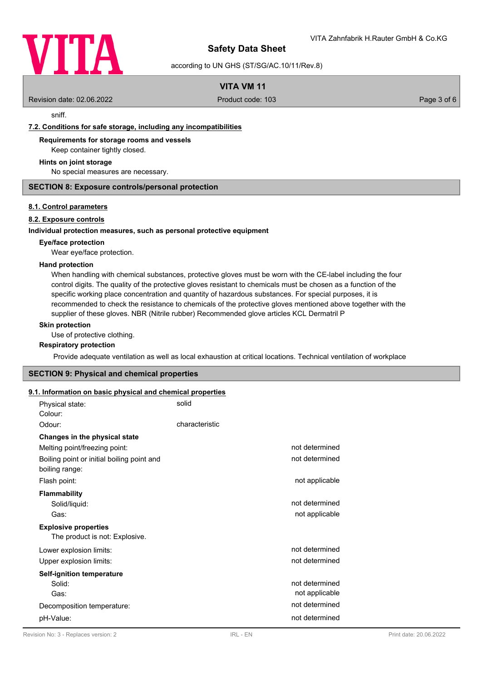

according to UN GHS (ST/SG/AC.10/11/Rev.8)

### **VITA VM 11**

Revision date: 02.06.2022 Product code: 103 Page 3 of 6

sniff.

### **7.2. Conditions for safe storage, including any incompatibilities**

**Requirements for storage rooms and vessels**

Keep container tightly closed.

### **Hints on joint storage**

No special measures are necessary.

### **SECTION 8: Exposure controls/personal protection**

### **8.1. Control parameters**

### **8.2. Exposure controls**

### **Individual protection measures, such as personal protective equipment**

### **Eye/face protection**

Wear eye/face protection.

### **Hand protection**

When handling with chemical substances, protective gloves must be worn with the CE-label including the four control digits. The quality of the protective gloves resistant to chemicals must be chosen as a function of the specific working place concentration and quantity of hazardous substances. For special purposes, it is recommended to check the resistance to chemicals of the protective gloves mentioned above together with the supplier of these gloves. NBR (Nitrile rubber) Recommended glove articles KCL Dermatril P

### **Skin protection**

Use of protective clothing.

### **Respiratory protection**

Provide adequate ventilation as well as local exhaustion at critical locations. Technical ventilation of workplace

### **SECTION 9: Physical and chemical properties**

# **9.1. Information on basic physical and chemical properties**

| n mnormanon on pasic prijoical and chemical properties        |                |                                  |
|---------------------------------------------------------------|----------------|----------------------------------|
| Physical state:<br>Colour:                                    | solid          |                                  |
| Odour:                                                        | characteristic |                                  |
| Changes in the physical state                                 |                |                                  |
| Melting point/freezing point:                                 |                | not determined                   |
| Boiling point or initial boiling point and<br>boiling range:  |                | not determined                   |
| Flash point:                                                  |                | not applicable                   |
| <b>Flammability</b><br>Solid/liquid:<br>Gas:                  |                | not determined<br>not applicable |
| <b>Explosive properties</b><br>The product is not: Explosive. |                |                                  |
| Lower explosion limits:                                       |                | not determined                   |
| Upper explosion limits:                                       |                | not determined                   |
| Self-ignition temperature                                     |                |                                  |
| Solid:<br>Gas:                                                |                | not determined<br>not applicable |
| Decomposition temperature:                                    |                | not determined                   |
| pH-Value:                                                     |                | not determined                   |
|                                                               |                |                                  |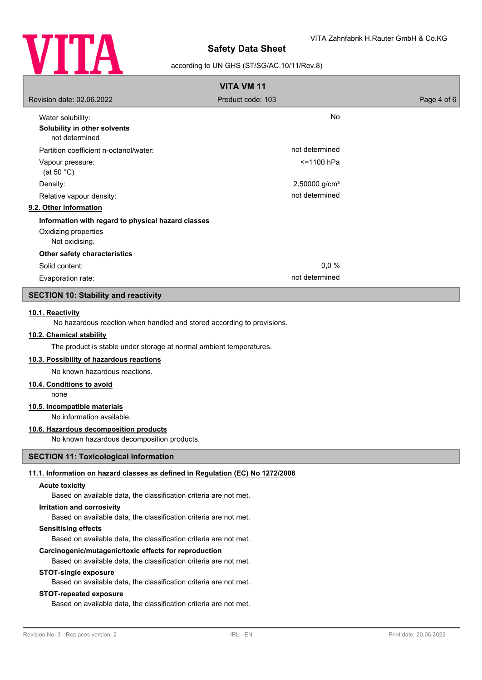

### according to UN GHS (ST/SG/AC.10/11/Rev.8)

| <b>VITA VM 11</b>                                                                            |                   |             |
|----------------------------------------------------------------------------------------------|-------------------|-------------|
| Revision date: 02.06.2022                                                                    | Product code: 103 | Page 4 of 6 |
| Water solubility:<br>Solubility in other solvents<br>not determined                          | <b>No</b>         |             |
| Partition coefficient n-octanol/water:                                                       | not determined    |             |
| Vapour pressure:<br>(at 50 $^{\circ}$ C)                                                     | <=1100 hPa        |             |
| Density:                                                                                     | 2,50000 $g/cm3$   |             |
| Relative vapour density:                                                                     | not determined    |             |
| 9.2. Other information                                                                       |                   |             |
| Information with regard to physical hazard classes<br>Oxidizing properties<br>Not oxidising. |                   |             |
| Other safety characteristics                                                                 |                   |             |
| Solid content:                                                                               | 0.0 %             |             |
| Evaporation rate:                                                                            | not determined    |             |

### **SECTION 10: Stability and reactivity**

### **10.1. Reactivity**

No hazardous reaction when handled and stored according to provisions.

### **10.2. Chemical stability**

The product is stable under storage at normal ambient temperatures.

### **10.3. Possibility of hazardous reactions**

No known hazardous reactions.

### **10.4. Conditions to avoid**

none

### **10.5. Incompatible materials**

No information available.

### **10.6. Hazardous decomposition products**

No known hazardous decomposition products.

### **SECTION 11: Toxicological information**

### **11.1. Information on hazard classes as defined in Regulation (EC) No 1272/2008**

#### **Acute toxicity**

Based on available data, the classification criteria are not met.

### **Irritation and corrosivity**

Based on available data, the classification criteria are not met.

### **Sensitising effects**

Based on available data, the classification criteria are not met.

### **Carcinogenic/mutagenic/toxic effects for reproduction**

Based on available data, the classification criteria are not met.

### **STOT-single exposure**

Based on available data, the classification criteria are not met.

### **STOT-repeated exposure**

Based on available data, the classification criteria are not met.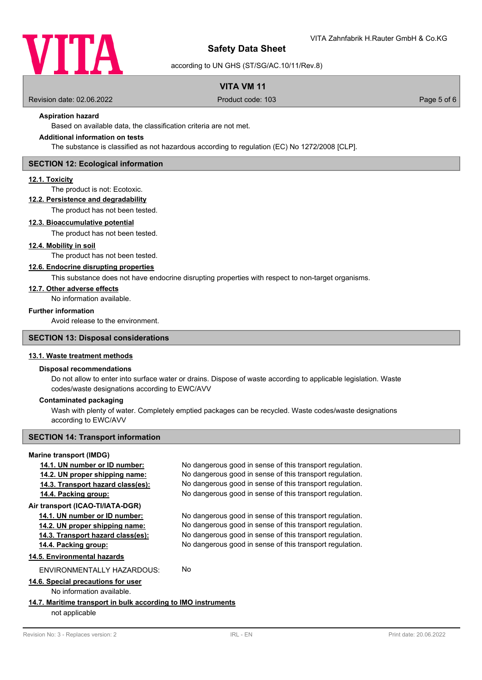

according to UN GHS (ST/SG/AC.10/11/Rev.8)

### **VITA VM 11**

Revision date: 02.06.2022 Product code: 103 Page 5 of 6

### **Aspiration hazard**

Based on available data, the classification criteria are not met.

### **Additional information on tests**

The substance is classified as not hazardous according to regulation (EC) No 1272/2008 [CLP].

### **SECTION 12: Ecological information**

### **12.1. Toxicity**

The product is not: Ecotoxic.

### **12.2. Persistence and degradability**

#### The product has not been tested.

### **12.3. Bioaccumulative potential**

The product has not been tested.

### **12.4. Mobility in soil**

The product has not been tested.

### **12.6. Endocrine disrupting properties**

This substance does not have endocrine disrupting properties with respect to non-target organisms.

### **12.7. Other adverse effects**

No information available.

### **Further information**

Avoid release to the environment.

### **SECTION 13: Disposal considerations**

### **13.1. Waste treatment methods**

### **Disposal recommendations**

Do not allow to enter into surface water or drains. Dispose of waste according to applicable legislation. Waste codes/waste designations according to EWC/AVV

### **Contaminated packaging**

Wash with plenty of water. Completely emptied packages can be recycled. Waste codes/waste designations according to EWC/AVV

### **SECTION 14: Transport information**

#### **Marine transport (IMDG)**

| 14.1. UN number or ID number:                                 | No dangerous good in sense of this transport regulation. |
|---------------------------------------------------------------|----------------------------------------------------------|
| 14.2. UN proper shipping name:                                | No dangerous good in sense of this transport regulation. |
| 14.3. Transport hazard class(es):                             | No dangerous good in sense of this transport regulation. |
| 14.4. Packing group:                                          | No dangerous good in sense of this transport regulation. |
| Air transport (ICAO-TI/IATA-DGR)                              |                                                          |
| 14.1. UN number or ID number:                                 | No dangerous good in sense of this transport regulation. |
| 14.2. UN proper shipping name:                                | No dangerous good in sense of this transport regulation. |
| 14.3. Transport hazard class(es):                             | No dangerous good in sense of this transport regulation. |
| 14.4. Packing group:                                          | No dangerous good in sense of this transport regulation. |
| 14.5. Environmental hazards                                   |                                                          |
| ENVIRONMENTALLY HAZARDOUS:                                    | No                                                       |
| 14.6. Special precautions for user                            |                                                          |
| No information available.                                     |                                                          |
| 14.7. Maritime transport in bulk according to IMO instruments |                                                          |
| not applicable                                                |                                                          |